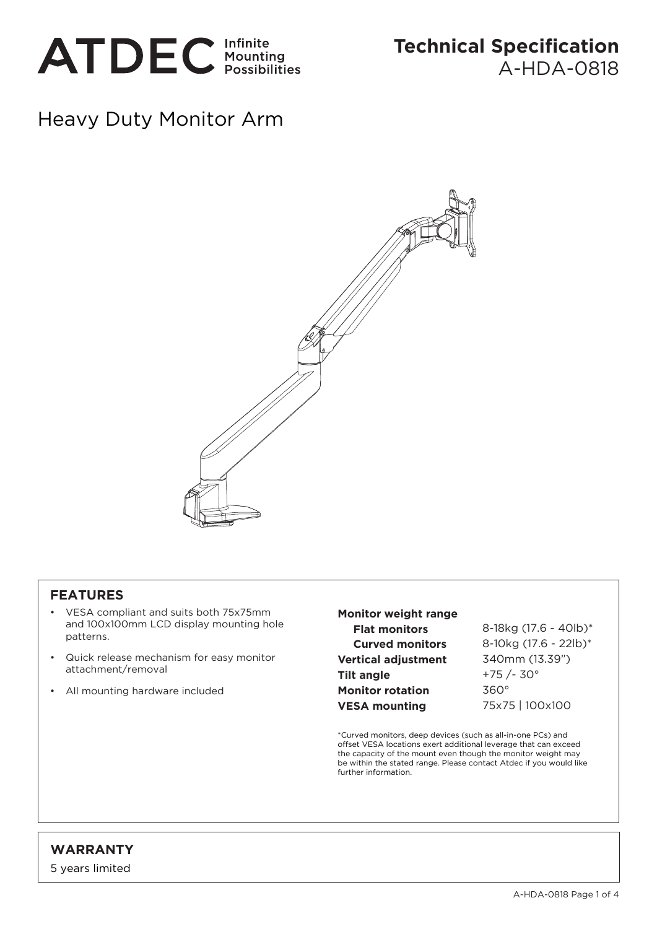

## Heavy Duty Monitor Arm



## **FEATURES**

- VESA compliant and suits both 75x75mm and 100x100mm LCD display mounting hole patterns.
- Quick release mechanism for easy monitor attachment/removal
- All mounting hardware included

## **Monitor weight range Flat monitors Curved monitors Vertical adjustment Tilt angle Monitor rotation VESA mounting**

8-18kg (17.6 - 40lb)\* 8-10kg (17.6 - 22lb)\* 340mm (13.39") +75 /- 30° 360° 75x75 | 100x100

\*Curved monitors, deep devices (such as all-in-one PCs) and offset VESA locations exert additional leverage that can exceed the capacity of the mount even though the monitor weight may be within the stated range. Please contact Atdec if you would like further information.

## **WARRANTY**

5 years limited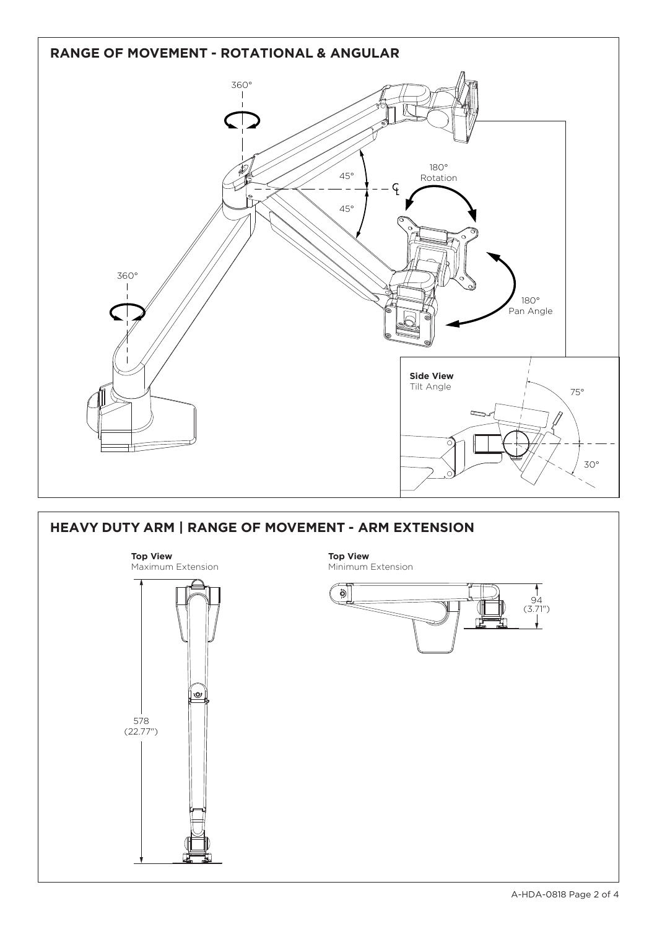

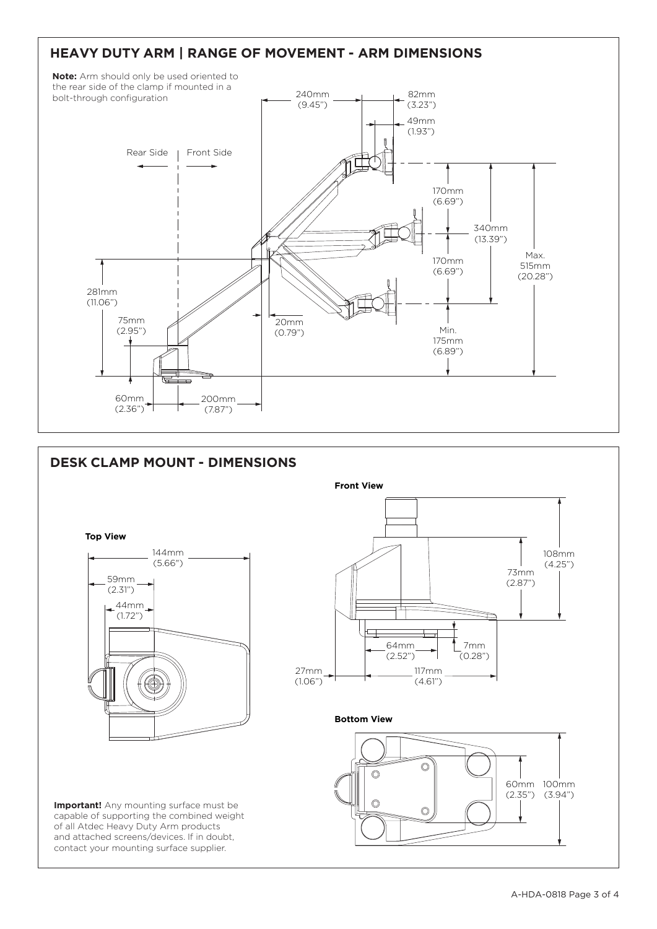